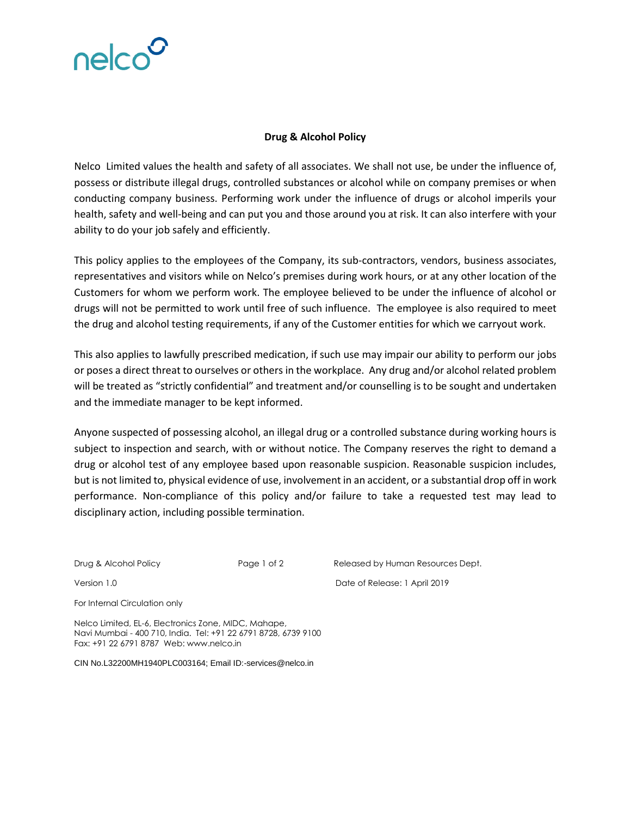

## **Drug & Alcohol Policy**

Nelco Limited values the health and safety of all associates. We shall not use, be under the influence of, possess or distribute illegal drugs, controlled substances or alcohol while on company premises or when conducting company business. Performing work under the influence of drugs or alcohol imperils your health, safety and well-being and can put you and those around you at risk. It can also interfere with your ability to do your job safely and efficiently.

This policy applies to the employees of the Company, its sub-contractors, vendors, business associates, representatives and visitors while on Nelco's premises during work hours, or at any other location of the Customers for whom we perform work. The employee believed to be under the influence of alcohol or drugs will not be permitted to work until free of such influence. The employee is also required to meet the drug and alcohol testing requirements, if any of the Customer entities for which we carryout work.

This also applies to lawfully prescribed medication, if such use may impair our ability to perform our jobs or poses a direct threat to ourselves or others in the workplace. Any drug and/or alcohol related problem will be treated as "strictly confidential" and treatment and/or counselling is to be sought and undertaken and the immediate manager to be kept informed.

Anyone suspected of possessing alcohol, an illegal drug or a controlled substance during working hours is subject to inspection and search, with or without notice. The Company reserves the right to demand a drug or alcohol test of any employee based upon reasonable suspicion. Reasonable suspicion includes, but is not limited to, physical evidence of use, involvement in an accident, or a substantial drop off in work performance. Non-compliance of this policy and/or failure to take a requested test may lead to disciplinary action, including possible termination.

Drug & Alcohol Policy **Page 1 of 2** Released by Human Resources Dept. Version 1.0 Date of Release: 1 April 2019

For Internal Circulation only

Nelco Limited, EL-6, Electronics Zone, MIDC, Mahape, Navi Mumbai - 400 710, India. Tel: +91 22 6791 8728, 6739 9100 Fax: +91 22 6791 8787 Web: www.nelco.in

CIN No.L32200MH1940PLC003164; Email ID:-services@nelco.in